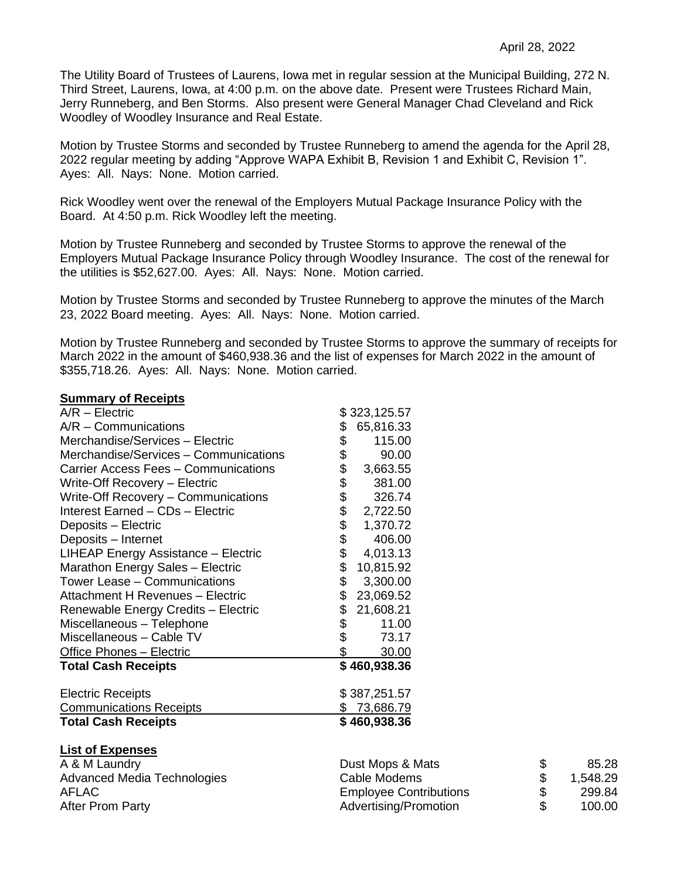The Utility Board of Trustees of Laurens, Iowa met in regular session at the Municipal Building, 272 N. Third Street, Laurens, Iowa, at 4:00 p.m. on the above date. Present were Trustees Richard Main, Jerry Runneberg, and Ben Storms. Also present were General Manager Chad Cleveland and Rick Woodley of Woodley Insurance and Real Estate.

Motion by Trustee Storms and seconded by Trustee Runneberg to amend the agenda for the April 28, 2022 regular meeting by adding "Approve WAPA Exhibit B, Revision 1 and Exhibit C, Revision 1". Ayes: All. Nays: None. Motion carried.

Rick Woodley went over the renewal of the Employers Mutual Package Insurance Policy with the Board. At 4:50 p.m. Rick Woodley left the meeting.

Motion by Trustee Runneberg and seconded by Trustee Storms to approve the renewal of the Employers Mutual Package Insurance Policy through Woodley Insurance. The cost of the renewal for the utilities is \$52,627.00. Ayes: All. Nays: None. Motion carried.

Motion by Trustee Storms and seconded by Trustee Runneberg to approve the minutes of the March 23, 2022 Board meeting. Ayes: All. Nays: None. Motion carried.

Motion by Trustee Runneberg and seconded by Trustee Storms to approve the summary of receipts for March 2022 in the amount of \$460,938.36 and the list of expenses for March 2022 in the amount of \$355,718.26. Ayes: All. Nays: None. Motion carried.

## **Summary of Receipts**

| A/R - Electric                        |            | \$323,125.57       |
|---------------------------------------|------------|--------------------|
| A/R - Communications                  | \$         | 65,816.33          |
| Merchandise/Services - Electric       | \$         | 115.00             |
| Merchandise/Services - Communications | \$         | 90.00              |
| Carrier Access Fees - Communications  | \$         | 3,663.55           |
| Write-Off Recovery - Electric         |            | 381.00             |
| Write-Off Recovery - Communications   |            | 326.74             |
| Interest Earned - CDs - Electric      | \$\$\$\$\$ | 2,722.50           |
| Deposits - Electric                   |            | 1,370.72           |
| Deposits - Internet                   |            | 406.00             |
| LIHEAP Energy Assistance - Electric   | \$         | 4,013.13           |
| Marathon Energy Sales - Electric      | \$         | 10,815.92          |
| Tower Lease - Communications          | \$         | 3,300.00           |
| Attachment H Revenues - Electric      | \$         | 23,069.52          |
| Renewable Energy Credits - Electric   | \$         | 21,608.21          |
| Miscellaneous - Telephone             | \$         | 11.00              |
| Miscellaneous - Cable TV              | \$         | 73.17              |
| Office Phones - Electric              | \$         | 30.00              |
| <b>Total Cash Receipts</b>            |            | \$460,938.36       |
|                                       |            |                    |
| <b>Electric Receipts</b>              |            | \$387,251.57       |
| <b>Communications Receipts</b>        |            | <u>\$73,686.79</u> |
| <b>Total Cash Receipts</b>            |            | \$460,938.36       |
|                                       |            |                    |

| A & M Laundry               | Dust Mops & Mats              | 85.28    |
|-----------------------------|-------------------------------|----------|
| Advanced Media Technologies | Cable Modems                  | 1,548.29 |
| AFLAC                       | <b>Employee Contributions</b> | 299.84   |
| <b>After Prom Party</b>     | Advertising/Promotion         | 100.00   |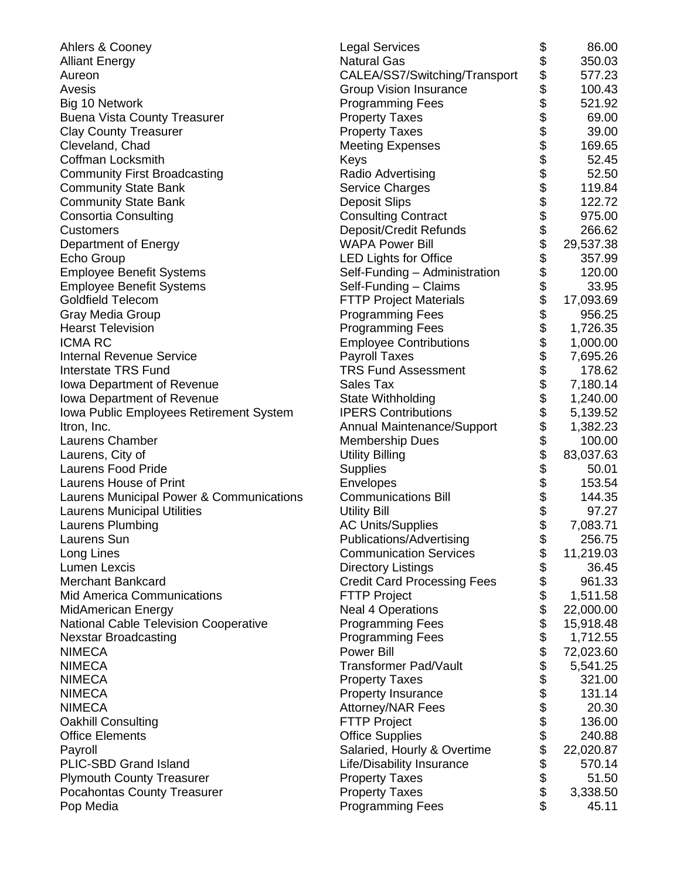| Ahlers & Cooney                              | <b>Legal Services</b>                 | \$                         | 86.00     |
|----------------------------------------------|---------------------------------------|----------------------------|-----------|
| <b>Alliant Energy</b>                        | <b>Natural Gas</b>                    | \$                         | 350.03    |
| Aureon                                       | CALEA/SS7/Switching/Transport         |                            | 577.23    |
| Avesis                                       | <b>Group Vision Insurance</b>         |                            | 100.43    |
| Big 10 Network                               | <b>Programming Fees</b>               |                            | 521.92    |
| <b>Buena Vista County Treasurer</b>          | <b>Property Taxes</b>                 |                            | 69.00     |
| <b>Clay County Treasurer</b>                 | <b>Property Taxes</b>                 |                            | 39.00     |
| Cleveland, Chad                              | <b>Meeting Expenses</b>               |                            | 169.65    |
| Coffman Locksmith                            | Keys                                  |                            | 52.45     |
| <b>Community First Broadcasting</b>          | Radio Advertising                     |                            | 52.50     |
| <b>Community State Bank</b>                  | <b>Service Charges</b>                |                            | 119.84    |
| <b>Community State Bank</b>                  | <b>Deposit Slips</b>                  |                            | 122.72    |
| <b>Consortia Consulting</b>                  | <b>Consulting Contract</b>            |                            | 975.00    |
| <b>Customers</b>                             | Deposit/Credit Refunds                |                            | 266.62    |
| Department of Energy                         | <b>WAPA Power Bill</b>                |                            | 29,537.38 |
| Echo Group                                   | <b>LED Lights for Office</b>          |                            | 357.99    |
| <b>Employee Benefit Systems</b>              | Self-Funding - Administration         |                            | 120.00    |
| <b>Employee Benefit Systems</b>              | Self-Funding - Claims                 |                            | 33.95     |
| <b>Goldfield Telecom</b>                     | <b>FTTP Project Materials</b>         |                            | 17,093.69 |
| Gray Media Group                             | <b>Programming Fees</b>               |                            | 956.25    |
| <b>Hearst Television</b>                     | <b>Programming Fees</b>               |                            | 1,726.35  |
| <b>ICMA RC</b>                               | <b>Employee Contributions</b>         |                            | 1,000.00  |
| <b>Internal Revenue Service</b>              | <b>Payroll Taxes</b>                  |                            | 7,695.26  |
| <b>Interstate TRS Fund</b>                   | <b>TRS Fund Assessment</b>            |                            | 178.62    |
| <b>Iowa Department of Revenue</b>            | Sales Tax                             |                            | 7,180.14  |
| Iowa Department of Revenue                   | State Withholding                     |                            | 1,240.00  |
| Iowa Public Employees Retirement System      | <b>IPERS Contributions</b>            |                            | 5,139.52  |
| Itron, Inc.                                  | <b>Annual Maintenance/Support</b>     |                            | 1,382.23  |
| Laurens Chamber                              | <b>Membership Dues</b>                | ֍֍֍֍֍֍֍֍֍֍֍֍֍֍֍֍֍֍֍֍֍֍֍֍֍֍ | 100.00    |
| Laurens, City of                             | <b>Utility Billing</b>                |                            | 83,037.63 |
| <b>Laurens Food Pride</b>                    | <b>Supplies</b>                       |                            | 50.01     |
| Laurens House of Print                       | Envelopes                             | <b>88888</b>               | 153.54    |
| Laurens Municipal Power & Communications     | <b>Communications Bill</b>            |                            | 144.35    |
| <b>Laurens Municipal Utilities</b>           | <b>Utility Bill</b>                   |                            | 97.27     |
| Laurens Plumbing                             | <b>AC Units/Supplies</b>              |                            | 7,083.71  |
| Laurens Sun                                  | Publications/Advertising              |                            | 256.75    |
| Long Lines                                   | <b>Communication Services</b>         |                            | 11,219.03 |
| <b>Lumen Lexcis</b>                          | <b>Directory Listings</b>             | \$<br>\$                   | 36.45     |
| <b>Merchant Bankcard</b>                     | <b>Credit Card Processing Fees</b>    |                            | 961.33    |
| <b>Mid America Communications</b>            | <b>FTTP Project</b>                   |                            | 1,511.58  |
|                                              |                                       | \$\$\$\$                   | 22,000.00 |
| <b>MidAmerican Energy</b>                    | <b>Neal 4 Operations</b>              |                            |           |
| <b>National Cable Television Cooperative</b> | <b>Programming Fees</b>               |                            | 15,918.48 |
| <b>Nexstar Broadcasting</b><br><b>NIMECA</b> | <b>Programming Fees</b><br>Power Bill | 8888888                    | 1,712.55  |
|                                              |                                       |                            | 72,023.60 |
| <b>NIMECA</b>                                | <b>Transformer Pad/Vault</b>          |                            | 5,541.25  |
| <b>NIMECA</b>                                | <b>Property Taxes</b>                 |                            | 321.00    |
| <b>NIMECA</b>                                | <b>Property Insurance</b>             |                            | 131.14    |
| <b>NIMECA</b>                                | <b>Attorney/NAR Fees</b>              |                            | 20.30     |
| <b>Oakhill Consulting</b>                    | <b>FTTP Project</b>                   |                            | 136.00    |
| <b>Office Elements</b>                       | <b>Office Supplies</b>                |                            | 240.88    |
| Payroll                                      | Salaried, Hourly & Overtime           |                            | 22,020.87 |
| PLIC-SBD Grand Island                        | Life/Disability Insurance             |                            | 570.14    |
| <b>Plymouth County Treasurer</b>             | <b>Property Taxes</b>                 | \$\$\$\$                   | 51.50     |
| <b>Pocahontas County Treasurer</b>           | <b>Property Taxes</b>                 |                            | 3,338.50  |
| Pop Media                                    | <b>Programming Fees</b>               |                            | 45.11     |